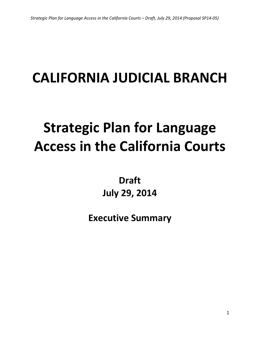# **CALIFORNIA JUDICIAL BRANCH**

# **Strategic Plan for Language Access in the California Courts**

**Draft July 29, 2014**

**Executive Summary**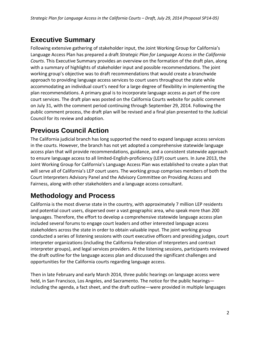### **Executive Summary**

Following extensive gathering of stakeholder input, the Joint Working Group for California's Language Access Plan has prepared a draft *Strategic Plan for Language Access in the California Courts*. This Executive Summary provides an overview on the formation of the draft plan, along with a summary of highlights of stakeholder input and possible recommendations. The joint working group's objective was to draft recommendations that would create a branchwide approach to providing language access services to court users throughout the state while accommodating an individual court's need for a large degree of flexibility in implementing the plan recommendations. A primary goal is to incorporate language access as part of the core court services. The draft plan was posted on the California Courts website for public comment on July 31, with the comment period continuing through September 29, 2014. Following the public comment process, the draft plan will be revised and a final plan presented to the Judicial Council for its review and adoption.

# **Previous Council Action**

The California judicial branch has long supported the need to expand language access services in the courts. However, the branch has not yet adopted a comprehensive statewide language access plan that will provide recommendations, guidance, and a consistent statewide approach to ensure language access to all limited-English-proficiency (LEP) court users. In June 2013, the Joint Working Group for California's Language Access Plan was established to create a plan that will serve all of California's LEP court users. The working group comprises members of both the Court Interpreters Advisory Panel and the Advisory Committee on Providing Access and Fairness, along with other stakeholders and a language access consultant.

### **Methodology and Process**

California is the most diverse state in the country, with approximately 7 million LEP residents and potential court users, dispersed over a vast geographic area, who speak more than 200 languages. Therefore, the effort to develop a comprehensive statewide language access plan included several forums to engage court leaders and other interested language access stakeholders across the state in order to obtain valuable input. The joint working group conducted a series of listening sessions with court executive officers and presiding judges, court interpreter organizations (including the California Federation of Interpreters and contract interpreter groups), and legal services providers. At the listening sessions, participants reviewed the draft outline for the language access plan and discussed the significant challenges and opportunities for the California courts regarding language access.

Then in late February and early March 2014, three public hearings on language access were held, in San Francisco, Los Angeles, and Sacramento. The notice for the public hearings including the agenda, a fact sheet, and the draft outline—were provided in multiple languages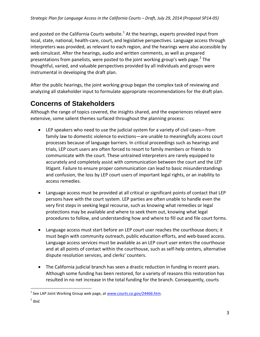and posted on the California Courts website. $1$  At the hearings, experts provided input from local, state, national, health-care, court, and legislative perspectives. Language access through interpreters was provided, as relevant to each region, and the hearings were also accessible by web simulcast. After the hearings, audio and written comments, as well as prepared presentations from panelists, were posted to the joint working group's web page.<sup>[2](#page-2-1)</sup> The thoughtful, varied, and valuable perspectives provided by all individuals and groups were instrumental in developing the draft plan.

After the public hearings, the joint working group began the complex task of reviewing and analyzing all stakeholder input to formulate appropriate recommendations for the draft plan.

# **Concerns of Stakeholders**

Although the range of topics covered, the insights shared, and the experiences relayed were extensive, some salient themes surfaced throughout the planning process:

- LEP speakers who need to use the judicial system for a variety of civil cases—from family law to domestic violence to evictions—are unable to meaningfully access court processes because of language barriers. In critical proceedings such as hearings and trials, LEP court users are often forced to resort to family members or friends to communicate with the court. These untrained interpreters are rarely equipped to accurately and completely assist with communication between the court and the LEP litigant. Failure to ensure proper communication can lead to basic misunderstandings and confusion, the loss by LEP court users of important legal rights, or an inability to access remedies.
- Language access must be provided at all critical or significant points of contact that LEP persons have with the court system. LEP parties are often unable to handle even the very first steps in seeking legal recourse, such as knowing what remedies or legal protections may be available and where to seek them out, knowing what legal procedures to follow, and understanding how and where to fill out and file court forms.
- Language access must start before an LEP court user reaches the courthouse doors; it must begin with community outreach, public education efforts, and web-based access. Language access services must be available as an LEP court user enters the courthouse and at all points of contact within the courthouse, such as self-help centers, alternative dispute resolution services, and clerks' counters.
- The California judicial branch has seen a drastic reduction in funding in recent years. Although some funding has been restored, for a variety of reasons this restoration has resulted in no net increase in the total funding for the branch. Consequently, courts

<span id="page-2-0"></span><sup>1</sup> See LAP Joint Working Group web page, at *[www.courts.ca.gov/24466.htm](http://www.courts.ca.gov/24466.htm)*.

<span id="page-2-1"></span> $<sup>2</sup>$  *Ibid.*</sup>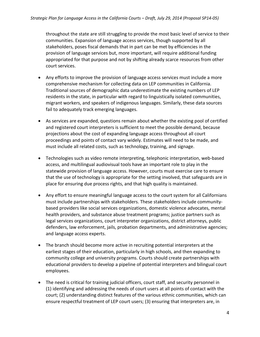throughout the state are still struggling to provide the most basic level of service to their communities. Expansion of language access services, though supported by all stakeholders, poses fiscal demands that in part can be met by efficiencies in the provision of language services but, more important, will require additional funding appropriated for that purpose and not by shifting already scarce resources from other court services.

- Any efforts to improve the provision of language access services must include a more comprehensive mechanism for collecting data on LEP communities in California. Traditional sources of demographic data underestimate the existing numbers of LEP residents in the state, in particular with regard to linguistically isolated communities, migrant workers, and speakers of indigenous languages. Similarly, these data sources fail to adequately track emerging languages.
- As services are expanded, questions remain about whether the existing pool of certified and registered court interpreters is sufficient to meet the possible demand, because projections about the cost of expanding language access throughout all court proceedings and points of contact vary widely. Estimates will need to be made, and must include all related costs, such as technology, training, and signage.
- Technologies such as video remote interpreting, telephonic interpretation, web-based access, and multilingual audiovisual tools have an important role to play in the statewide provision of language access. However, courts must exercise care to ensure that the use of technology is appropriate for the setting involved, that safeguards are in place for ensuring due process rights, and that high quality is maintained.
- Any effort to ensure meaningful language access to the court system for all Californians must include partnerships with stakeholders. These stakeholders include communitybased providers like social services organizations, domestic violence advocates, mental health providers, and substance abuse treatment programs; justice partners such as legal services organizations, court interpreter organizations, district attorneys, public defenders, law enforcement, jails, probation departments, and administrative agencies; and language access experts.
- The branch should become more active in recruiting potential interpreters at the earliest stages of their education, particularly in high schools, and then expanding to community college and university programs. Courts should create partnerships with educational providers to develop a pipeline of potential interpreters and bilingual court employees.
- The need is critical for training judicial officers, court staff, and security personnel in (1) identifying and addressing the needs of court users at all points of contact with the court; (2) understanding distinct features of the various ethnic communities, which can ensure respectful treatment of LEP court users; (3) ensuring that interpreters are, in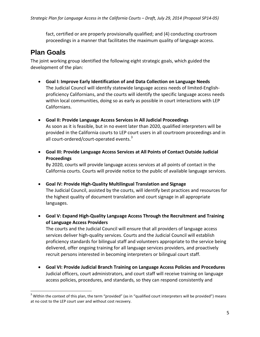fact, certified or are properly provisionally qualified; and (4) conducting courtroom proceedings in a manner that facilitates the maximum quality of language access.

#### **Plan Goals**

The joint working group identified the following eight strategic goals, which guided the development of the plan:

- **Goal I: Improve Early Identification of and Data Collection on Language Needs** The Judicial Council will identify statewide language access needs of limited-Englishproficiency Californians, and the courts will identify the specific language access needs within local communities, doing so as early as possible in court interactions with LEP Californians.
- **Goal II: Provide Language Access Services in All Judicial Proceedings** As soon as it is feasible, but in no event later than 2020, qualified interpreters will be provided in the California courts to LEP court users in all courtroom proceedings and in all court-ordered/court-operated events. $3$
- **Goal III: Provide Language Access Services at All Points of Contact Outside Judicial Proceedings**

By 2020, courts will provide language access services at all points of contact in the California courts. Courts will provide notice to the public of available language services.

- **Goal IV: Provide High-Quality Multilingual Translation and Signage** The Judicial Council, assisted by the courts, will identify best practices and resources for the highest quality of document translation and court signage in all appropriate languages.
- **Goal V: Expand High-Quality Language Access Through the Recruitment and Training of Language Access Providers**

The courts and the Judicial Council will ensure that all providers of language access services deliver high-quality services. Courts and the Judicial Council will establish proficiency standards for bilingual staff and volunteers appropriate to the service being delivered, offer ongoing training for all language services providers, and proactively recruit persons interested in becoming interpreters or bilingual court staff.

• **Goal VI: Provide Judicial Branch Training on Language Access Policies and Procedures** Judicial officers, court administrators, and court staff will receive training on language access policies, procedures, and standards, so they can respond consistently and

<span id="page-4-0"></span> $3$  Within the context of this plan, the term "provided" (as in "qualified court interpreters will be provided") means at no cost to the LEP court user and without cost recovery.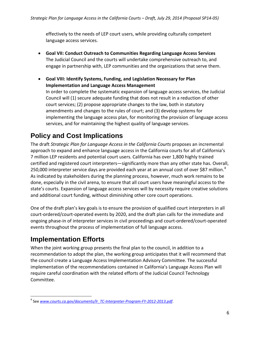effectively to the needs of LEP court users, while providing culturally competent language access services.

- **Goal VII: Conduct Outreach to Communities Regarding Language Access Services** The Judicial Council and the courts will undertake comprehensive outreach to, and engage in partnership with, LEP communities and the organizations that serve them.
- **Goal VIII: Identify Systems, Funding, and Legislation Necessary for Plan Implementation and Language Access Management** In order to complete the systematic expansion of language access services, the Judicial Council will (1) secure adequate funding that does not result in a reduction of other court services; (2) propose appropriate changes to the law, both in statutory amendments and changes to the rules of court; and (3) develop systems for implementing the language access plan, for monitoring the provision of language access services, and for maintaining the highest quality of language services.

# **Policy and Cost Implications**

The draft *Strategic Plan for Language Access in the California Courts* proposes an incremental approach to expand and enhance language access in the California courts for all of California's 7 million LEP residents and potential court users. California has over 1,800 highly trained certified and registered court interpreters—significantly more than any other state has. Overall, 250,000 interpreter service days are provided each year at an annual cost of over \$87 million. $4$ As indicated by stakeholders during the planning process, however, much work remains to be done, especially in the civil arena, to ensure that all court users have meaningful access to the state's courts. Expansion of language access services will by necessity require creative solutions and additional court funding, without diminishing other core court operations.

One of the draft plan's key goals is to ensure the provision of qualified court interpreters in all court-ordered/court-operated events by 2020, and the draft plan calls for the immediate and ongoing phase-in of interpreter services in civil proceedings and court-ordered/court-operated events throughout the process of implementation of full language access.

## **Implementation Efforts**

When the joint working group presents the final plan to the council, in addition to a recommendation to adopt the plan, the working group anticipates that it will recommend that the council create a Language Access Implementation Advisory Committee. The successful implementation of the recommendations contained in California's Language Access Plan will require careful coordination with the related efforts of the Judicial Council Technology Committee.

<span id="page-5-0"></span><sup>4</sup> See *[www.courts.ca.gov/documents/lr\\_TC-Interpreter-Program-FY-2012-2013.pdf](http://www.courts.ca.gov/documents/lr_TC-Interpreter-Program-FY-2012-2013.pdf)*.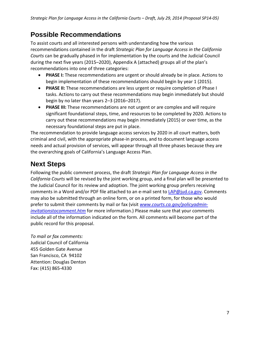#### **Possible Recommendations**

To assist courts and all interested persons with understanding how the various recommendations contained in the draft *Strategic Plan for Language Access in the California Courts* can be gradually phased in for implementation by the courts and the Judicial Council during the next five years (2015–2020), Appendix A (attached) groups all of the plan's recommendations into one of three categories:

- **PHASE I:** These recommendations are urgent or should already be in place. Actions to begin implementation of these recommendations should begin by year 1 (2015).
- **PHASE II:** These recommendations are less urgent or require completion of Phase I tasks. Actions to carry out these recommendations may begin immediately but should begin by no later than years 2–3 (2016–2017).
- **PHASE III:** These recommendations are not urgent or are complex and will require significant foundational steps, time, and resources to be completed by 2020. Actions to carry out these recommendations may begin immediately (2015) or over time, as the necessary foundational steps are put in place.

The recommendation to provide language access services by 2020 in all court matters, both criminal and civil, with the appropriate phase-in process, and to document language access needs and actual provision of services, will appear through all three phases because they are the overarching goals of California's Language Access Plan.

## **Next Steps**

Following the public comment process, the draft *Strategic Plan for Language Access in the California Courts* will be revised by the joint working group, and a final plan will be presented to the Judicial Council for its review and adoption. The joint working group prefers receiving comments in a Word and/or PDF file attached to an e-mail sent to [LAP@jud.ca.gov.](mailto:LAP@jud.ca.gov) Comments may also be submitted through an online form, or on a printed form, for those who would prefer to submit their comments by mail or fax (visit *[www.courts.ca.gov/policyadmin](http://www.courts.ca.gov/policyadmin-invitationstocomment.htm)[invitationstocomment.htm](http://www.courts.ca.gov/policyadmin-invitationstocomment.htm)* for more information.) Please make sure that your comments include all of the information indicated on the form. All comments will become part of the public record for this proposal.

*To mail or fax comments:* Judicial Council of California 455 Golden Gate Avenue San Francisco, CA 94102 Attention: Douglas Denton Fax: (415) 865-4330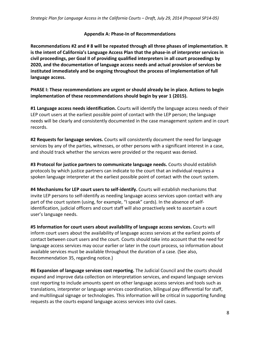#### **Appendix A: Phase-In of Recommendations**

**Recommendations #2 and # 8 will be repeated through all three phases of implementation. It is the intent of California's Language Access Plan that the phase-in of interpreter services in civil proceedings, per Goal II of providing qualified interpreters in all court proceedings by 2020, and the documentation of language access needs and actual provision of services be instituted immediately and be ongoing throughout the process of implementation of full language access.**

**PHASE I: These recommendations are urgent or should already be in place. Actions to begin implementation of these recommendations should begin by year 1 (2015).** 

**#1 Language access needs identification.** Courts will identify the language access needs of their LEP court users at the earliest possible point of contact with the LEP person; the language needs will be clearly and consistently documented in the case management system and in court records.

**#2 Requests for language services.** Courts will consistently document the need for language services by any of the parties, witnesses, or other persons with a significant interest in a case, and should track whether the services were provided or the request was denied.

**#3 Protocol for justice partners to communicate language needs.** Courts should establish protocols by which justice partners can indicate to the court that an individual requires a spoken language interpreter at the earliest possible point of contact with the court system.

**#4 Mechanisms for LEP court users to self-identify.** Courts will establish mechanisms that invite LEP persons to self-identify as needing language access services upon contact with any part of the court system (using, for example, "I speak" cards). In the absence of selfidentification, judicial officers and court staff will also proactively seek to ascertain a court user's language needs.

**#5 Information for court users about availability of language access services.** Courts will inform court users about the availability of language access services at the earliest points of contact between court users and the court. Courts should take into account that the need for language access services may occur earlier or later in the court process, so information about available services must be available throughout the duration of a case. (See also, Recommendation 35, regarding notice.)

**#6 Expansion of language services cost reporting.** The Judicial Council and the courts should expand and improve data collection on interpretation services, and expand language services cost reporting to include amounts spent on other language access services and tools such as translations, interpreter or language services coordination, bilingual pay differential for staff, and multilingual signage or technologies. This information will be critical in supporting funding requests as the courts expand language access services into civil cases.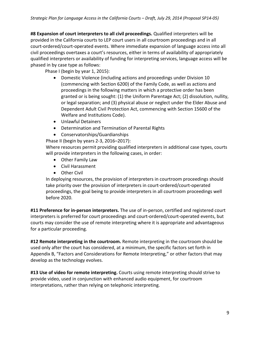**#8 Expansion of court interpreters to all civil proceedings.** Qualified interpreters will be provided in the California courts to LEP court users in all courtroom proceedings and in all court-ordered/court-operated events. Where immediate expansion of language access into all civil proceedings overtaxes a court's resources, either in terms of availability of appropriately qualified interpreters or availability of funding for interpreting services, language access will be phased in by case type as follows:

Phase I (begin by year 1, 2015):

- Domestic Violence (including actions and proceedings under Division 10 (commencing with Section 6200) of the Family Code, as well as actions and proceedings in the following matters in which a protective order has been granted or is being sought: (1) the Uniform Parentage Act; (2) dissolution, nullity, or legal separation; and (3) physical abuse or neglect under the Elder Abuse and Dependent Adult Civil Protection Act, commencing with Section 15600 of the Welfare and Institutions Code).
- Unlawful Detainers
- Determination and Termination of Parental Rights
- Conservatorships/Guardianships

Phase II (begin by years 2-3, 2016–2017):

Where resources permit providing qualified interpreters in additional case types, courts will provide interpreters in the following cases, in order:

- Other Family Law
- Civil Harassment
- Other Civil

In deploying resources, the provision of interpreters in courtroom proceedings should take priority over the provision of interpreters in court-ordered/court-operated proceedings, the goal being to provide interpreters in all courtroom proceedings well before 2020.

**#11 Preference for in-person interpreters.** The use of in-person, certified and registered court interpreters is preferred for court proceedings and court-ordered/court-operated events, but courts may consider the use of remote interpreting where it is appropriate and advantageous for a particular proceeding.

**#12 Remote interpreting in the courtroom.** Remote interpreting in the courtroom should be used only after the court has considered, at a minimum, the specific factors set forth in Appendix B, "Factors and Considerations for Remote Interpreting," or other factors that may develop as the technology evolves.

**#13 Use of video for remote interpreting.** Courts using remote interpreting should strive to provide video, used in conjunction with enhanced audio equipment, for courtroom interpretations, rather than relying on telephonic interpreting.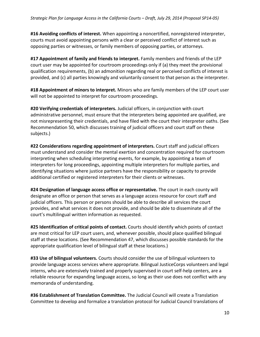**#16 Avoiding conflicts of interest.** When appointing a noncertified, nonregistered interpreter, courts must avoid appointing persons with a clear or perceived conflict of interest such as opposing parties or witnesses, or family members of opposing parties, or attorneys.

**#17 Appointment of family and friends to interpret.** Family members and friends of the LEP court user may be appointed for courtroom proceedings only if (a) they meet the provisional qualification requirements, (b) an admonition regarding real or perceived conflicts of interest is provided, and (c) all parties knowingly and voluntarily consent to that person as the interpreter.

**#18 Appointment of minors to interpret.** Minors who are family members of the LEP court user will not be appointed to interpret for courtroom proceedings.

**#20 Verifying credentials of interpreters.** Judicial officers, in conjunction with court administrative personnel, must ensure that the interpreters being appointed are qualified, are not misrepresenting their credentials, and have filed with the court their interpreter oaths. (See Recommendation 50, which discusses training of judicial officers and court staff on these subjects.)

**#22 Considerations regarding appointment of interpreters.** Court staff and judicial officers must understand and consider the mental exertion and concentration required for courtroom interpreting when scheduling interpreting events, for example, by appointing a team of interpreters for long proceedings, appointing multiple interpreters for multiple parties, and identifying situations where justice partners have the responsibility or capacity to provide additional certified or registered interpreters for their clients or witnesses.

**#24 Designation of language access office or representative.** The court in each county will designate an office or person that serves as a language access resource for court staff and judicial officers. This person or persons should be able to describe all services the court provides, and what services it does not provide, and should be able to disseminate all of the court's multilingual written information as requested.

**#25 Identification of critical points of contact.** Courts should identify which points of contact are most critical for LEP court users, and, whenever possible, should place qualified bilingual staff at these locations. (See Recommendation 47, which discusses possible standards for the appropriate qualification level of bilingual staff at these locations.)

**#33 Use of bilingual volunteers.** Courts should consider the use of bilingual volunteers to provide language access services where appropriate. Bilingual JusticeCorps volunteers and legal interns, who are extensively trained and properly supervised in court self-help centers, are a reliable resource for expanding language access, so long as their use does not conflict with any memoranda of understanding.

**#36 Establishment of Translation Committee.** The Judicial Council will create a Translation Committee to develop and formalize a translation protocol for Judicial Council translations of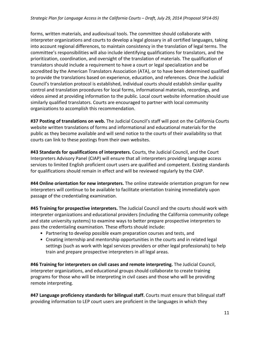forms, written materials, and audiovisual tools. The committee should collaborate with interpreter organizations and courts to develop a legal glossary in all certified languages, taking into account regional differences, to maintain consistency in the translation of legal terms. The committee's responsibilities will also include identifying qualifications for translators, and the prioritization, coordination, and oversight of the translation of materials. The qualification of translators should include a requirement to have a court or legal specialization and be accredited by the American Translators Association (ATA), or to have been determined qualified to provide the translations based on experience, education, and references. Once the Judicial Council's translation protocol is established, individual courts should establish similar quality control and translation procedures for local forms, informational materials, recordings, and videos aimed at providing information to the public. Local court website information should use similarly qualified translators. Courts are encouraged to partner with local community organizations to accomplish this recommendation.

**#37 Posting of translations on web.** The Judicial Council's staff will post on the California Courts website written translations of forms and informational and educational materials for the public as they become available and will send notice to the courts of their availability so that courts can link to these postings from their own websites.

**#43 Standards for qualifications of interpreters.** Courts, the Judicial Council, and the Court Interpreters Advisory Panel (CIAP) will ensure that all interpreters providing language access services to limited English proficient court users are qualified and competent. Existing standards for qualifications should remain in effect and will be reviewed regularly by the CIAP.

**#44 Online orientation for new interpreters.** The online statewide orientation program for new interpreters will continue to be available to facilitate orientation training immediately upon passage of the credentialing examination.

**#45 Training for prospective interpreters.** The Judicial Council and the courts should work with interpreter organizations and educational providers (including the California community college and state university systems) to examine ways to better prepare prospective interpreters to pass the credentialing examination. These efforts should include:

- Partnering to develop possible exam preparation courses and tests, and
- Creating internship and mentorship opportunities in the courts and in related legal settings (such as work with legal services providers or other legal professionals) to help train and prepare prospective interpreters in all legal areas.

**#46 Training for interpreters on civil cases and remote interpreting.** The Judicial Council, interpreter organizations, and educational groups should collaborate to create training programs for those who will be interpreting in civil cases and those who will be providing remote interpreting.

**#47 Language proficiency standards for bilingual staff.** Courts must ensure that bilingual staff providing information to LEP court users are proficient in the languages in which they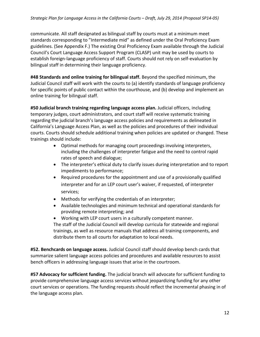communicate. All staff designated as bilingual staff by courts must at a minimum meet standards corresponding to "Intermediate mid" as defined under the Oral Proficiency Exam guidelines. (See Appendix F.) The existing Oral Proficiency Exam available through the Judicial Council's Court Language Access Support Program (CLASP) unit may be used by courts to establish foreign-language proficiency of staff. Courts should not rely on self-evaluation by bilingual staff in determining their language proficiency.

**#48 Standards and online training for bilingual staff.** Beyond the specified minimum, the Judicial Council staff will work with the courts to (a) identify standards of language proficiency for specific points of public contact within the courthouse, and (b) develop and implement an online training for bilingual staff.

**#50 Judicial branch training regarding language access plan.** Judicial officers, including temporary judges, court administrators, and court staff will receive systematic training regarding the judicial branch's language access policies and requirements as delineated in California's Language Access Plan, as well as the policies and procedures of their individual courts. Courts should schedule additional training when policies are updated or changed. These trainings should include:

- Optimal methods for managing court proceedings involving interpreters, including the challenges of interpreter fatigue and the need to control rapid rates of speech and dialogue;
- The interpreter's ethical duty to clarify issues during interpretation and to report impediments to performance;
- Required procedures for the appointment and use of a provisionally qualified interpreter and for an LEP court user's waiver, if requested, of interpreter services;
- Methods for verifying the credentials of an interpreter;
- Available technologies and minimum technical and operational standards for providing remote interpreting; and

• Working with LEP court users in a culturally competent manner. The staff of the Judicial Council will develop curricula for statewide and regional trainings, as well as resource manuals that address all training components, and distribute them to all courts for adaptation to local needs.

**#52. Benchcards on language access.** Judicial Council staff should develop bench cards that summarize salient language access policies and procedures and available resources to assist bench officers in addressing language issues that arise in the courtroom.

**#57 Advocacy for sufficient funding.** The judicial branch will advocate for sufficient funding to provide comprehensive language access services without jeopardizing funding for any other court services or operations. The funding requests should reflect the incremental phasing in of the language access plan.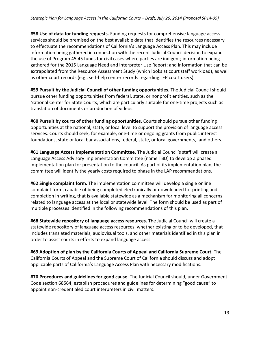**#58 Use of data for funding requests.** Funding requests for comprehensive language access services should be premised on the best available data that identifies the resources necessary to effectuate the recommendations of California's Language Access Plan. This may include information being gathered in connection with the recent Judicial Council decision to expand the use of Program 45.45 funds for civil cases where parties are indigent; information being gathered for the 2015 Language Need and Interpreter Use Report; and information that can be extrapolated from the Resource Assessment Study (which looks at court staff workload), as well as other court records (e.g., self-help center records regarding LEP court users).

**#59 Pursuit by the Judicial Council of other funding opportunities.** The Judicial Council should pursue other funding opportunities from federal, state, or nonprofit entities, such as the National Center for State Courts, which are particularly suitable for one-time projects such as translation of documents or production of videos.

**#60 Pursuit by courts of other funding opportunities.** Courts should pursue other funding opportunities at the national, state, or local level to support the provision of language access services. Courts should seek, for example, one-time or ongoing grants from public interest foundations, state or local bar associations, federal, state, or local governments, and others.

**#61 Language Access Implementation Committee.** The Judicial Council's staff will create a Language Access Advisory Implementation Committee (name TBD) to develop a phased implementation plan for presentation to the council. As part of its implementation plan, the committee will identify the yearly costs required to phase in the LAP recommendations.

**#62 Single complaint form.** The implementation committee will develop a single online complaint form, capable of being completed electronically or downloaded for printing and completion in writing, that is available statewide as a mechanism for monitoring all concerns related to language access at the local or statewide level. The form should be used as part of multiple processes identified in the following recommendations of this plan.

**#68 Statewide repository of language access resources.** The Judicial Council will create a statewide repository of language access resources, whether existing or to be developed, that includes translated materials, audiovisual tools, and other materials identified in this plan in order to assist courts in efforts to expand language access.

**#69 Adoption of plan by the California Courts of Appeal and California Supreme Court.** The California Courts of Appeal and the Supreme Court of California should discuss and adopt applicable parts of California's Language Access Plan with necessary modifications.

**#70 Procedures and guidelines for good cause.** The Judicial Council should, under Government Code section 68564, establish procedures and guidelines for determining "good cause" to appoint non-credentialed court interpreters in civil matters.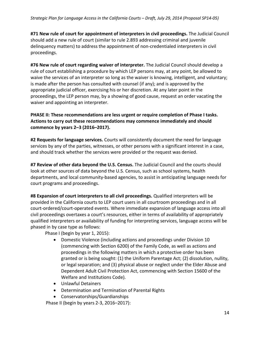**#71 New rule of court for appointment of interpreters in civil proceedings.** The Judicial Council should add a new rule of court (similar to rule 2.893 addressing criminal and juvenile delinquency matters) to address the appointment of non-credentialed interpreters in civil proceedings.

**#76 New rule of court regarding waiver of interpreter.** The Judicial Council should develop a rule of court establishing a procedure by which LEP persons may, at any point, be allowed to waive the services of an interpreter so long as the waiver is knowing, intelligent, and voluntary; is made after the person has consulted with counsel (if any); and is approved by the appropriate judicial officer, exercising his or her discretion. At any later point in the proceedings, the LEP person may, by a showing of good cause, request an order vacating the waiver and appointing an interpreter.

#### **PHASE II: These recommendations are less urgent or require completion of Phase I tasks. Actions to carry out these recommendations may commence immediately and should commence by years 2–3 (2016–2017).**

**#2 Requests for language services.** Courts will consistently document the need for language services by any of the parties, witnesses, or other persons with a significant interest in a case, and should track whether the services were provided or the request was denied.

**#7 Review of other data beyond the U.S. Census.** The Judicial Council and the courts should look at other sources of data beyond the U.S. Census, such as school systems, health departments, and local community-based agencies, to assist in anticipating language needs for court programs and proceedings.

**#8 Expansion of court interpreters to all civil proceedings.** Qualified interpreters will be provided in the California courts to LEP court users in all courtroom proceedings and in all court-ordered/court-operated events. Where immediate expansion of language access into all civil proceedings overtaxes a court's resources, either in terms of availability of appropriately qualified interpreters or availability of funding for interpreting services, language access will be phased in by case type as follows:

Phase I (begin by year 1, 2015):

- Domestic Violence (including actions and proceedings under Division 10 (commencing with Section 6200) of the Family Code, as well as actions and proceedings in the following matters in which a protective order has been granted or is being sought: (1) the Uniform Parentage Act; (2) dissolution, nullity, or legal separation; and (3) physical abuse or neglect under the Elder Abuse and Dependent Adult Civil Protection Act, commencing with Section 15600 of the Welfare and Institutions Code).
- Unlawful Detainers
- Determination and Termination of Parental Rights
- Conservatorships/Guardianships

Phase II (begin by years 2-3, 2016–2017):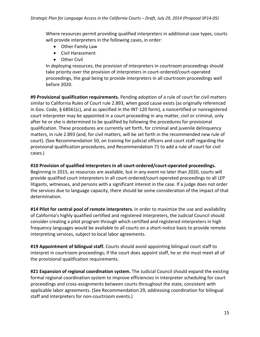Where resources permit providing qualified interpreters in additional case types, courts will provide interpreters in the following cases, in order:

- Other Family Law
- Civil Harassment
- Other Civil

In deploying resources, the provision of interpreters in courtroom proceedings should take priority over the provision of interpreters in court-ordered/court-operated proceedings, the goal being to provide interpreters in all courtroom proceedings well before 2020.

**#9 Provisional qualification requirements.** Pending adoption of a rule of court for civil matters similar to California Rules of Court rule 2.893, when good cause exists (as originally referenced in Gov. Code, § 68561(c), and as specified in the INT-120 form), a noncertified or nonregistered court interpreter may be appointed in a court proceeding in any matter, civil or criminal, only after he or she is determined to be qualified by following the procedures for provisional qualification. These procedures are currently set forth, for criminal and juvenile delinquency matters, in rule 2.893 (and, for civil matters, will be set forth in the recommended new rule of court). (See Recommendation 50, on training for judicial officers and court staff regarding the provisional qualification procedures, and Recommendation 71 to add a rule of court for civil cases.)

#### **#10 Provision of qualified interpreters in all court-ordered/court-operated proceedings.**

Beginning in 2015, as resources are available, but in any event no later than 2020, courts will provide qualified court interpreters in all court-ordered/court-operated proceedings to all LEP litigants, witnesses, and persons with a significant interest in the case. If a judge does not order the services due to language capacity, there should be some consideration of the impact of that determination.

**#14 Pilot for central pool of remote interpreters.** In order to maximize the use and availability of California's highly qualified certified and registered interpreters, the Judicial Council should consider creating a pilot program through which certified and registered interpreters in high frequency languages would be available to all courts on a short-notice basis to provide remote interpreting services, subject to local labor agreements.

**#19 Appointment of bilingual staff.** Courts should avoid appointing bilingual court staff to interpret in courtroom proceedings; if the court does appoint staff, he or she must meet all of the provisional qualification requirements.

**#21 Expansion of regional coordination system.** The Judicial Council should expand the existing formal regional coordination system to improve efficiencies in interpreter scheduling for court proceedings and cross-assignments between courts throughout the state, consistent with applicable labor agreements. (See Recommendation 29, addressing coordination for bilingual staff and interpreters for non-courtroom events.)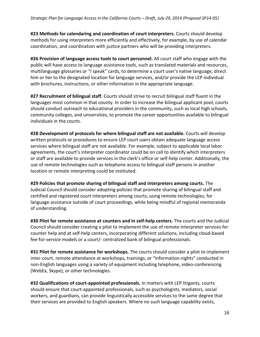**#23 Methods for calendaring and coordination of court interpreters.** Courts should develop methods for using interpreters more efficiently and effectively, for example, by use of calendar coordination, and coordination with justice partners who will be providing interpreters.

**#26 Provision of language access tools to court personnel.** All court staff who engage with the public will have access to language assistance tools, such as translated materials and resources, multilanguage glossaries or "I speak" cards, to determine a court user's native language, direct him or her to the designated location for language services, and/or provide the LEP individual with brochures, instructions, or other information in the appropriate language.

**#27 Recruitment of bilingual staff.** Courts should strive to recruit bilingual staff fluent in the languages most common in that county. In order to increase the bilingual applicant pool, courts should conduct outreach to educational providers in the community, such as local high schools, community colleges, and universities, to promote the career opportunities available to bilingual individuals in the courts.

**#28 Development of protocols for where bilingual staff are not available.** Courts will develop written protocols or procedures to ensure LEP court users obtain adequate language access services where bilingual staff are not available. For example, subject to applicable local labor agreements, the court's interpreter coordinator could be on call to identify which interpreters or staff are available to provide services in the clerk's office or self-help center. Additionally, the use of remote technologies such as telephone access to bilingual staff persons in another location or remote interpreting could be instituted.

**#29 Policies that promote sharing of bilingual staff and interpreters among courts.** The Judicial Council should consider adopting policies that promote sharing of bilingual staff and certified and registered court interpreters among courts, using remote technologies, for language assistance outside of court proceedings, while being mindful of regional memoranda of understanding.

**#30 Pilot for remote assistance at counters and in self-help centers.** The courts and the Judicial Council should consider creating a pilot to implement the use of remote interpreter services for counter help and at self-help centers, incorporating different solutions, including cloud-based fee-for-service models or a court/- centralized bank of bilingual professionals.

**#31 Pilot for remote assistance for workshops.** The courts should consider a pilot to implement inter-court, remote attendance at workshops, trainings, or "information nights" conducted in non-English languages using a variety of equipment including telephone, video-conferencing (WebEx, Skype), or other technologies.

**#32 Qualifications of court-appointed professionals.** In matters with LEP litigants, courts should ensure that court-appointed professionals, such as psychologists, mediators, social workers, and guardians, can provide linguistically accessible services to the same degree that their services are provided to English speakers. Where no such language capability exists,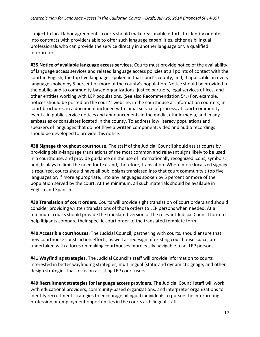subject to local labor agreements, courts should make reasonable efforts to identify or enter into contracts with providers able to offer such language capabilities, either as bilingual professionals who can provide the service directly in another language or via qualified interpreters.

**#35 Notice of available language access services.** Courts must provide notice of the availability of language access services and related language access policies at all points of contact with the court in English, the top five languages spoken in that court's county, and, if applicable, in every language spoken by 5 percent or more of the county's population. Notice should be provided to the public, and to community-based organizations, justice partners, legal services offices, and other entities working with LEP populations. (See also Recommendation 54.) For, example, notices should be posted on the court's website, in the courthouse at information counters, in court brochures, in a document included with initial service of process, at court-community events, in public service notices and announcements in the media, ethnic media, and in any embassies or consulates located in the county. To address low literacy populations and speakers of languages that do not have a written component, video and audio recordings should be developed to provide this notice.

**#38 Signage throughout courthouse.** The staff of the Judicial Council should assist courts by providing plain-language translations of the most common and relevant signs likely to be used in a courthouse, and provide guidance on the use of internationally recognized icons, symbols, and displays to limit the need for text and, therefore, translation. Where more localized signage is required, courts should have all public signs translated into that court community's top five languages or, if more appropriate, into any languages spoken by 5 percent or more of the population served by the court. At the minimum, all such materials should be available in English and Spanish.

**#39 Translation of court orders.** Courts will provide sight translation of court orders and should consider providing written translations of those orders to LEP persons when needed. At a minimum, courts should provide the translated version of the relevant Judicial Council form to help litigants compare their specific court order to the translated template form.

**#40 Accessible courthouses.** The Judicial Council, partnering with courts, should ensure that new courthouse construction efforts, as well as redesign of existing courthouse space, are undertaken with a focus on making courthouses more easily navigable to all LEP persons.

**#41 Wayfinding strategies.** The Judicial Council's staff will provide information to courts interested in better wayfinding strategies, multilingual (static and dynamic) signage, and other design strategies that focus on assisting LEP court users.

**#49 Recruitment strategies for language access providers.** The Judicial Council staff will work with educational providers, community-based organizations, and interpreter organizations to identify recruitment strategies to encourage bilingual individuals to pursue the interpreting profession or employment opportunities in the courts as bilingual staff.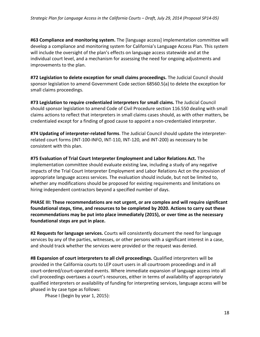**#63 Compliance and monitoring system.** The [language access] implementation committee will develop a compliance and monitoring system for California's Language Access Plan. This system will include the oversight of the plan's effects on language access statewide and at the individual court level, and a mechanism for assessing the need for ongoing adjustments and improvements to the plan.

**#72 Legislation to delete exception for small claims proceedings.** The Judicial Council should sponsor legislation to amend Government Code section 68560.5(a) to delete the exception for small claims proceedings.

**#73 Legislation to require credentialed interpreters for small claims.** The Judicial Council should sponsor legislation to amend Code of Civil Procedure section 116.550 dealing with small claims actions to reflect that interpreters in small claims cases should, as with other matters, be credentialed except for a finding of good cause to appoint a non-credentialed interpreter.

**#74 Updating of interpreter-related forms**. The Judicial Council should update the interpreterrelated court forms (INT-100-INFO, INT-110, INT-120, and INT-200) as necessary to be consistent with this plan.

**#75 Evaluation of Trial Court Interpreter Employment and Labor Relations Act.** The implementation committee should evaluate existing law, including a study of any negative impacts of the Trial Court Interpreter Employment and Labor Relations Act on the provision of appropriate language access services. The evaluation should include, but not be limited to, whether any modifications should be proposed for existing requirements and limitations on hiring independent contractors beyond a specified number of days.

**PHASE III: These recommendations are not urgent, or are complex and will require significant foundational steps, time, and resources to be completed by 2020. Actions to carry out these recommendations may be put into place immediately (2015), or over time as the necessary foundational steps are put in place.**

**#2 Requests for language services.** Courts will consistently document the need for language services by any of the parties, witnesses, or other persons with a significant interest in a case, and should track whether the services were provided or the request was denied.

**#8 Expansion of court interpreters to all civil proceedings.** Qualified interpreters will be provided in the California courts to LEP court users in all courtroom proceedings and in all court-ordered/court-operated events. Where immediate expansion of language access into all civil proceedings overtaxes a court's resources, either in terms of availability of appropriately qualified interpreters or availability of funding for interpreting services, language access will be phased in by case type as follows:

Phase I (begin by year 1, 2015):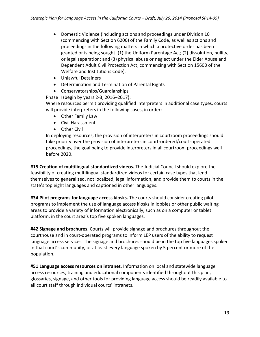- Domestic Violence (including actions and proceedings under Division 10 (commencing with Section 6200) of the Family Code, as well as actions and proceedings in the following matters in which a protective order has been granted or is being sought: (1) the Uniform Parentage Act; (2) dissolution, nullity, or legal separation; and (3) physical abuse or neglect under the Elder Abuse and Dependent Adult Civil Protection Act, commencing with Section 15600 of the Welfare and Institutions Code).
- Unlawful Detainers
- Determination and Termination of Parental Rights
- Conservatorships/Guardianships

 Phase II (begin by years 2-3, 2016–2017): Where resources permit providing qualified interpreters in additional case types, courts will provide interpreters in the following cases, in order:

- Other Family Law
- Civil Harassment
- Other Civil

In deploying resources, the provision of interpreters in courtroom proceedings should take priority over the provision of interpreters in court-ordered/court-operated proceedings, the goal being to provide interpreters in all courtroom proceedings well before 2020.

**#15 Creation of multilingual standardized videos.** The Judicial Council should explore the feasibility of creating multilingual standardized videos for certain case types that lend themselves to generalized, not localized, legal information, and provide them to courts in the state's top eight languages and captioned in other languages.

**#34 Pilot programs for language access kiosks.** The courts should consider creating pilot programs to implement the use of language access kiosks in lobbies or other public waiting areas to provide a variety of information electronically, such as on a computer or tablet platform, in the court area's top five spoken languages.

**#42 Signage and brochures.** Courts will provide signage and brochures throughout the courthouse and in court-operated programs to inform LEP users of the ability to request language access services. The signage and brochures should be in the top five languages spoken in that court's community, or at least every language spoken by 5 percent or more of the population.

**#51 Language access resources on intranet.** Information on local and statewide language access resources, training and educational components identified throughout this plan, glossaries, signage, and other tools for providing language access should be readily available to all court staff through individual courts' intranets.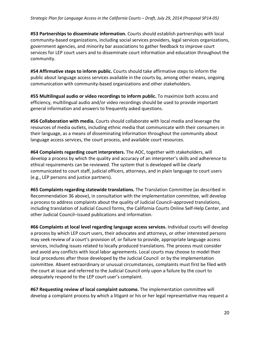**#53 Partnerships to disseminate information.** Courts should establish partnerships with local community-based organizations, including social services providers, legal services organizations, government agencies, and minority bar associations to gather feedback to improve court services for LEP court users and to disseminate court information and education throughout the community.

**#54 Affirmative steps to inform public.** Courts should take affirmative steps to inform the public about language access services available in the courts by, among other means, ongoing communication with community-based organizations and other stakeholders.

**#55 Multilingual audio or video recordings to inform public.** To maximize both access and efficiency, multilingual audio and/or video recordings should be used to provide important general information and answers to frequently asked questions.

**#56 Collaboration with media.** Courts should collaborate with local media and leverage the resources of media outlets, including ethnic media that communicate with their consumers in their language, as a means of disseminating information throughout the community about language access services, the court process, and available court resources.

**#64 Complaints regarding court interpreters.** The AOC, together with stakeholders, will develop a process by which the quality and accuracy of an interpreter's skills and adherence to ethical requirements can be reviewed. The system that is developed will be clearly communicated to court staff, judicial officers, attorneys, and in plain language to court users (e.g., LEP persons and justice partners).

**#65 Complaints regarding statewide translations.** The Translation Committee (as described in Recommendation 36 above), in consultation with the implementation committee, will develop a process to address complaints about the quality of Judicial Council–approved translations, including translation of Judicial Council forms, the California Courts Online Self-Help Center, and other Judicial Council–issued publications and information.

**#66 Complaints at local level regarding language access services.** Individual courts will develop a process by which LEP court users, their advocates and attorneys, or other interested persons may seek review of a court's provision of, or failure to provide, appropriate language access services, including issues related to locally produced translations. The process must consider and avoid any conflicts with local labor agreements. Local courts may choose to model their local procedures after those developed by the Judicial Council or by the implementation committee. Absent extraordinary or unusual circumstances, complaints must first be filed with the court at issue and referred to the Judicial Council only upon a failure by the court to adequately respond to the LEP court user's complaint.

**#67 Requesting review of local complaint outcome.** The implementation committee will develop a complaint process by which a litigant or his or her legal representative may request a